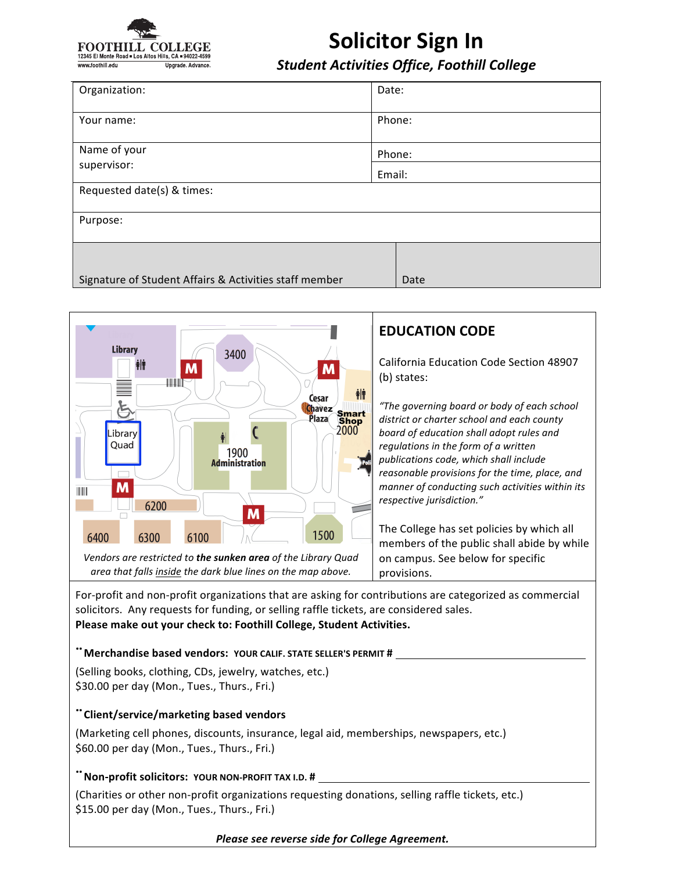

# **Solicitor Sign In**

*Student Activities Office, Foothill College*

| Organization:                                          | Date:  |
|--------------------------------------------------------|--------|
| Your name:                                             | Phone: |
| Name of your<br>supervisor:                            | Phone: |
|                                                        | Email: |
| Requested date(s) & times:                             |        |
| Purpose:                                               |        |
| Signature of Student Affairs & Activities staff member | Date   |



For-profit and non-profit organizations that are asking for contributions are categorized as commercial solicitors. Any requests for funding, or selling raffle tickets, are considered sales. Please make out your check to: Foothill College, Student Activities.

#### **"** Merchandise based vendors: YOUR CALIF. STATE SELLER'S PERMIT #

(Selling books, clothing, CDs, jewelry, watches, etc.) \$30.00 per day (Mon., Tues., Thurs., Fri.)

#### **¨Client/service/marketing based vendors**

(Marketing cell phones, discounts, insurance, legal aid, memberships, newspapers, etc.) \$60.00 per day (Mon., Tues., Thurs., Fri.)

#### **" Non-profit solicitors: YOUR NON-PROFIT TAX I.D. #**

(Charities or other non-profit organizations requesting donations, selling raffle tickets, etc.) \$15.00 per day (Mon., Tues., Thurs., Fri.)

#### *Please see reverse side for College Agreement.*